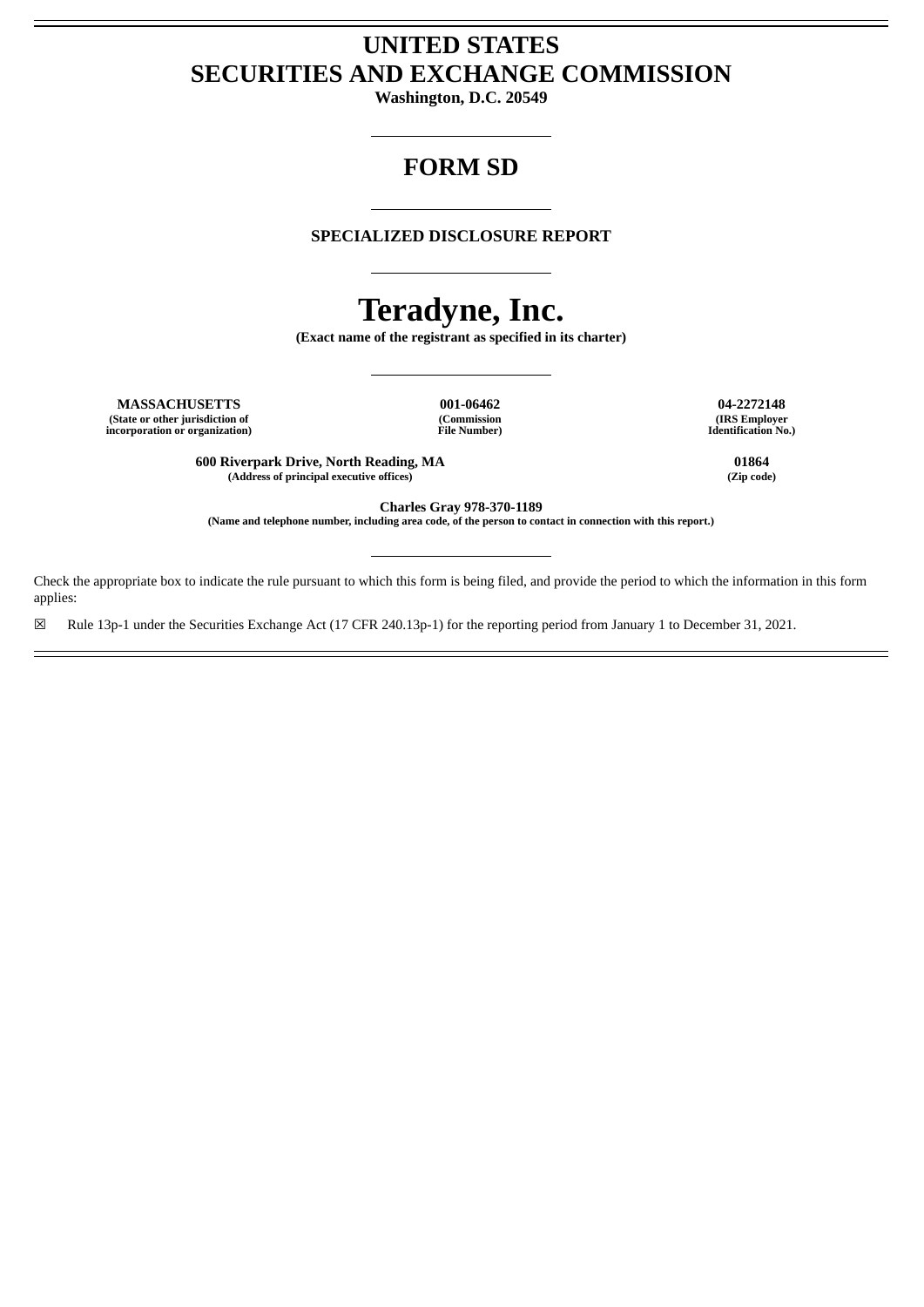# **UNITED STATES SECURITIES AND EXCHANGE COMMISSION**

**Washington, D.C. 20549**

# **FORM SD**

# **SPECIALIZED DISCLOSURE REPORT**

# **Teradyne, Inc.**

**(Exact name of the registrant as specified in its charter)**

**MASSACHUSETTS 001-06462 04-2272148 (State or other jurisdiction of incorporation or organization)**

**(Commission File Number)**

**(IRS Employer Identification No.)**

**600 Riverpark Drive, North Reading, MA 01864 (Address of principal executive offices) (Zip code)**

**Charles Gray 978-370-1189**

(Name and telephone number, including area code, of the person to contact in connection with this report.)

Check the appropriate box to indicate the rule pursuant to which this form is being filed, and provide the period to which the information in this form applies:

☒ Rule 13p-1 under the Securities Exchange Act (17 CFR 240.13p-1) for the reporting period from January 1 to December 31, 2021.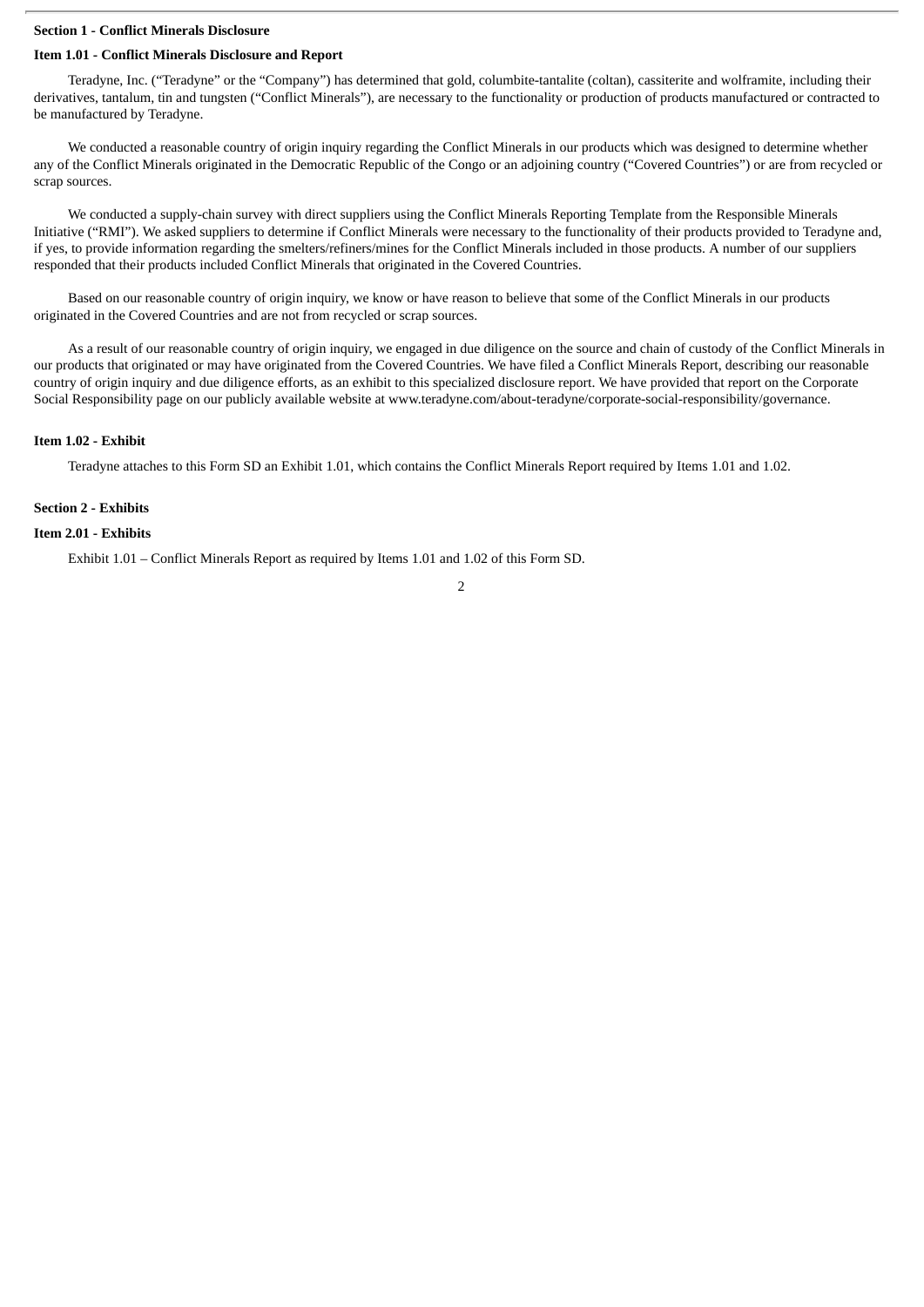## **Section 1 - Conflict Minerals Disclosure**

#### **Item 1.01 - Conflict Minerals Disclosure and Report**

Teradyne, Inc. ("Teradyne" or the "Company") has determined that gold, columbite-tantalite (coltan), cassiterite and wolframite, including their derivatives, tantalum, tin and tungsten ("Conflict Minerals"), are necessary to the functionality or production of products manufactured or contracted to be manufactured by Teradyne.

We conducted a reasonable country of origin inquiry regarding the Conflict Minerals in our products which was designed to determine whether any of the Conflict Minerals originated in the Democratic Republic of the Congo or an adjoining country ("Covered Countries") or are from recycled or scrap sources.

We conducted a supply-chain survey with direct suppliers using the Conflict Minerals Reporting Template from the Responsible Minerals Initiative ("RMI"). We asked suppliers to determine if Conflict Minerals were necessary to the functionality of their products provided to Teradyne and, if yes, to provide information regarding the smelters/refiners/mines for the Conflict Minerals included in those products. A number of our suppliers responded that their products included Conflict Minerals that originated in the Covered Countries.

Based on our reasonable country of origin inquiry, we know or have reason to believe that some of the Conflict Minerals in our products originated in the Covered Countries and are not from recycled or scrap sources.

As a result of our reasonable country of origin inquiry, we engaged in due diligence on the source and chain of custody of the Conflict Minerals in our products that originated or may have originated from the Covered Countries. We have filed a Conflict Minerals Report, describing our reasonable country of origin inquiry and due diligence efforts, as an exhibit to this specialized disclosure report. We have provided that report on the Corporate Social Responsibility page on our publicly available website at www.teradyne.com/about-teradyne/corporate-social-responsibility/governance.

#### **Item 1.02 - Exhibit**

Teradyne attaches to this Form SD an Exhibit 1.01, which contains the Conflict Minerals Report required by Items 1.01 and 1.02.

#### **Section 2 - Exhibits**

#### **Item 2.01 - Exhibits**

Exhibit 1.01 – Conflict Minerals Report as required by Items 1.01 and 1.02 of this Form SD.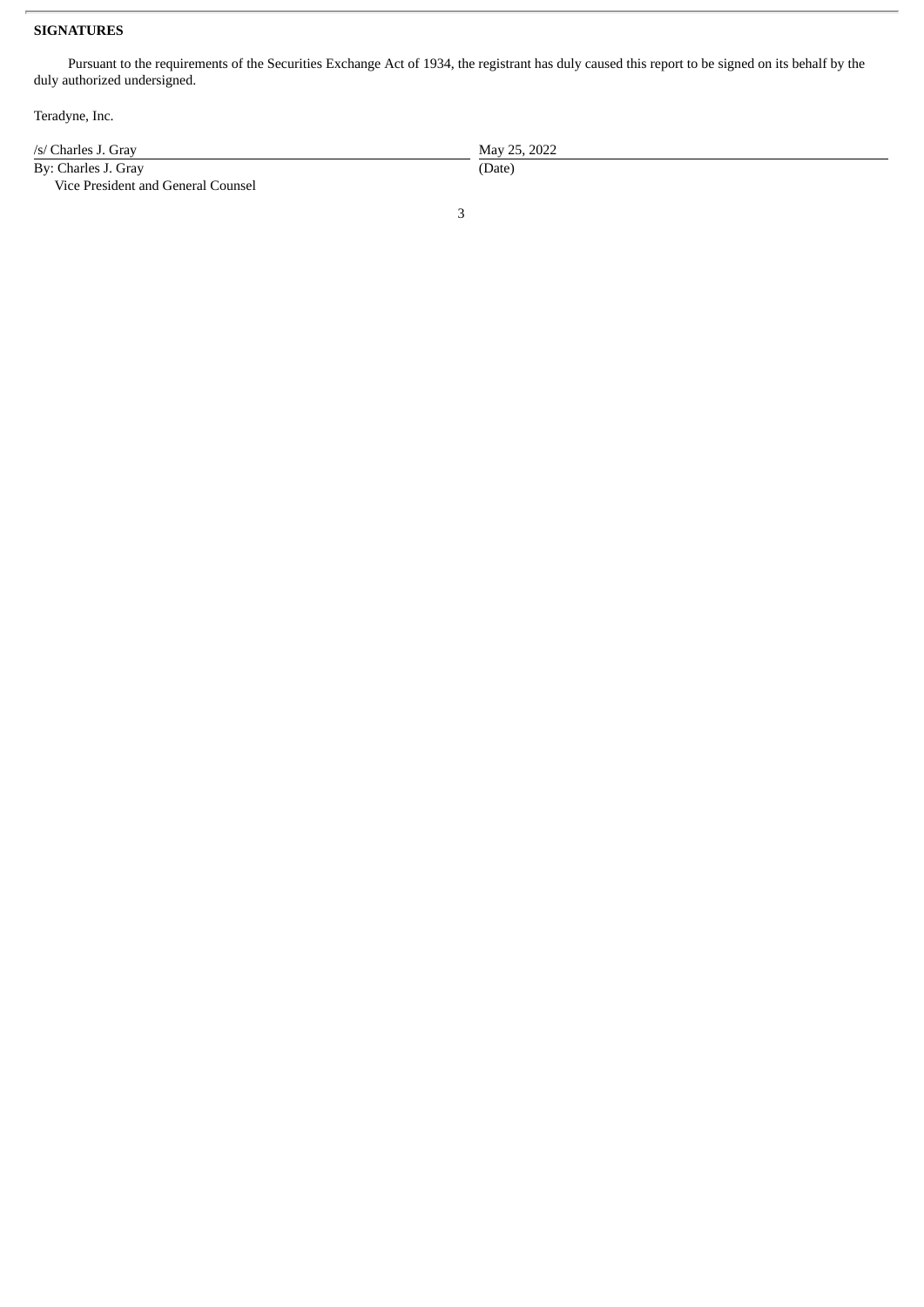# **SIGNATURES**

Pursuant to the requirements of the Securities Exchange Act of 1934, the registrant has duly caused this report to be signed on its behalf by the duly authorized undersigned.

Teradyne, Inc.

| /s/ Charles J. Grav                | May 25, 2022 |
|------------------------------------|--------------|
| By: Charles J. Gray                | (Date)       |
| Vice President and General Counsel |              |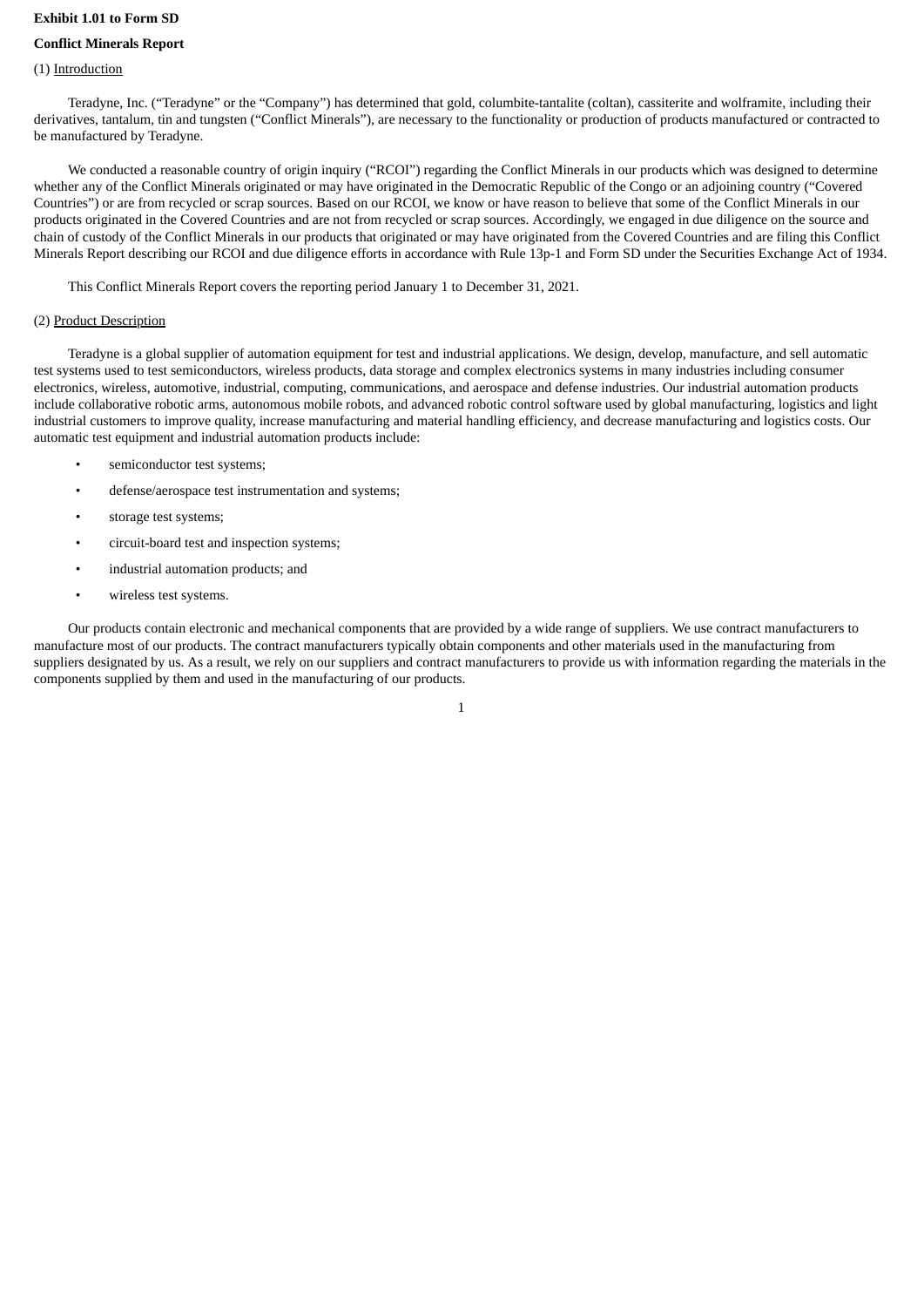#### **Exhibit 1.01 to Form SD**

## **Conflict Minerals Report**

#### (1) Introduction

Teradyne, Inc. ("Teradyne" or the "Company") has determined that gold, columbite-tantalite (coltan), cassiterite and wolframite, including their derivatives, tantalum, tin and tungsten ("Conflict Minerals"), are necessary to the functionality or production of products manufactured or contracted to be manufactured by Teradyne.

We conducted a reasonable country of origin inquiry ("RCOI") regarding the Conflict Minerals in our products which was designed to determine whether any of the Conflict Minerals originated or may have originated in the Democratic Republic of the Congo or an adjoining country ("Covered Countries") or are from recycled or scrap sources. Based on our RCOI, we know or have reason to believe that some of the Conflict Minerals in our products originated in the Covered Countries and are not from recycled or scrap sources. Accordingly, we engaged in due diligence on the source and chain of custody of the Conflict Minerals in our products that originated or may have originated from the Covered Countries and are filing this Conflict Minerals Report describing our RCOI and due diligence efforts in accordance with Rule 13p-1 and Form SD under the Securities Exchange Act of 1934.

This Conflict Minerals Report covers the reporting period January 1 to December 31, 2021.

#### (2) Product Description

Teradyne is a global supplier of automation equipment for test and industrial applications. We design, develop, manufacture, and sell automatic test systems used to test semiconductors, wireless products, data storage and complex electronics systems in many industries including consumer electronics, wireless, automotive, industrial, computing, communications, and aerospace and defense industries. Our industrial automation products include collaborative robotic arms, autonomous mobile robots, and advanced robotic control software used by global manufacturing, logistics and light industrial customers to improve quality, increase manufacturing and material handling efficiency, and decrease manufacturing and logistics costs. Our automatic test equipment and industrial automation products include:

- semiconductor test systems;
- defense/aerospace test instrumentation and systems;
- storage test systems;
- circuit-board test and inspection systems;
- industrial automation products; and
- wireless test systems.

Our products contain electronic and mechanical components that are provided by a wide range of suppliers. We use contract manufacturers to manufacture most of our products. The contract manufacturers typically obtain components and other materials used in the manufacturing from suppliers designated by us. As a result, we rely on our suppliers and contract manufacturers to provide us with information regarding the materials in the components supplied by them and used in the manufacturing of our products.

1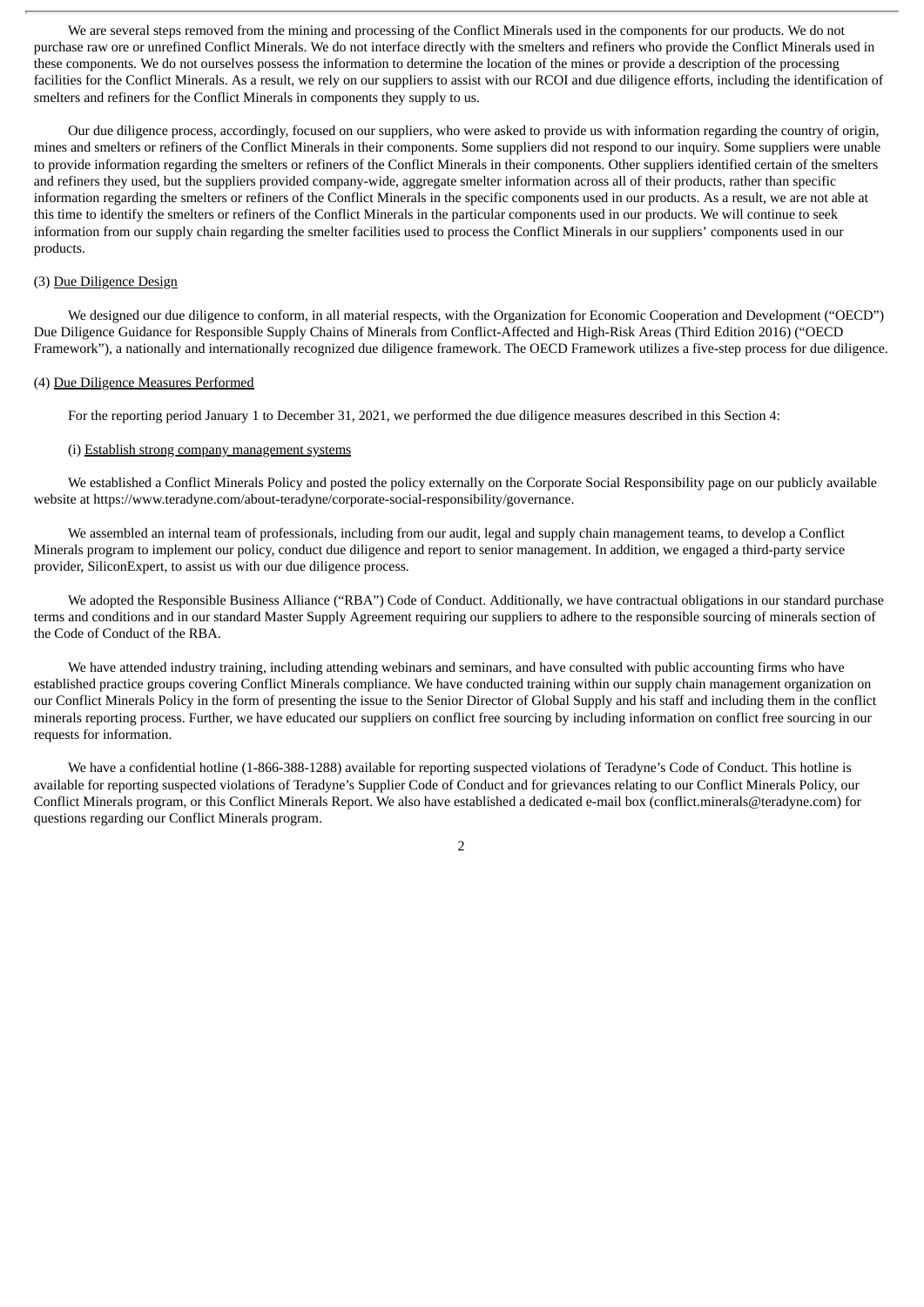We are several steps removed from the mining and processing of the Conflict Minerals used in the components for our products. We do not purchase raw ore or unrefined Conflict Minerals. We do not interface directly with the smelters and refiners who provide the Conflict Minerals used in these components. We do not ourselves possess the information to determine the location of the mines or provide a description of the processing facilities for the Conflict Minerals. As a result, we rely on our suppliers to assist with our RCOI and due diligence efforts, including the identification of smelters and refiners for the Conflict Minerals in components they supply to us.

Our due diligence process, accordingly, focused on our suppliers, who were asked to provide us with information regarding the country of origin, mines and smelters or refiners of the Conflict Minerals in their components. Some suppliers did not respond to our inquiry. Some suppliers were unable to provide information regarding the smelters or refiners of the Conflict Minerals in their components. Other suppliers identified certain of the smelters and refiners they used, but the suppliers provided company-wide, aggregate smelter information across all of their products, rather than specific information regarding the smelters or refiners of the Conflict Minerals in the specific components used in our products. As a result, we are not able at this time to identify the smelters or refiners of the Conflict Minerals in the particular components used in our products. We will continue to seek information from our supply chain regarding the smelter facilities used to process the Conflict Minerals in our suppliers' components used in our products.

#### (3) Due Diligence Design

We designed our due diligence to conform, in all material respects, with the Organization for Economic Cooperation and Development ("OECD") Due Diligence Guidance for Responsible Supply Chains of Minerals from Conflict-Affected and High-Risk Areas (Third Edition 2016) ("OECD Framework"), a nationally and internationally recognized due diligence framework. The OECD Framework utilizes a five-step process for due diligence.

#### (4) Due Diligence Measures Performed

For the reporting period January 1 to December 31, 2021, we performed the due diligence measures described in this Section 4:

#### (i) Establish strong company management systems

We established a Conflict Minerals Policy and posted the policy externally on the Corporate Social Responsibility page on our publicly available website at https://www.teradyne.com/about-teradyne/corporate-social-responsibility/governance.

We assembled an internal team of professionals, including from our audit, legal and supply chain management teams, to develop a Conflict Minerals program to implement our policy, conduct due diligence and report to senior management. In addition, we engaged a third-party service provider, SiliconExpert, to assist us with our due diligence process.

We adopted the Responsible Business Alliance ("RBA") Code of Conduct. Additionally, we have contractual obligations in our standard purchase terms and conditions and in our standard Master Supply Agreement requiring our suppliers to adhere to the responsible sourcing of minerals section of the Code of Conduct of the RBA.

We have attended industry training, including attending webinars and seminars, and have consulted with public accounting firms who have established practice groups covering Conflict Minerals compliance. We have conducted training within our supply chain management organization on our Conflict Minerals Policy in the form of presenting the issue to the Senior Director of Global Supply and his staff and including them in the conflict minerals reporting process. Further, we have educated our suppliers on conflict free sourcing by including information on conflict free sourcing in our requests for information.

We have a confidential hotline (1-866-388-1288) available for reporting suspected violations of Teradyne's Code of Conduct. This hotline is available for reporting suspected violations of Teradyne's Supplier Code of Conduct and for grievances relating to our Conflict Minerals Policy, our Conflict Minerals program, or this Conflict Minerals Report. We also have established a dedicated e-mail box (conflict.minerals@teradyne.com) for questions regarding our Conflict Minerals program.

 $\overline{2}$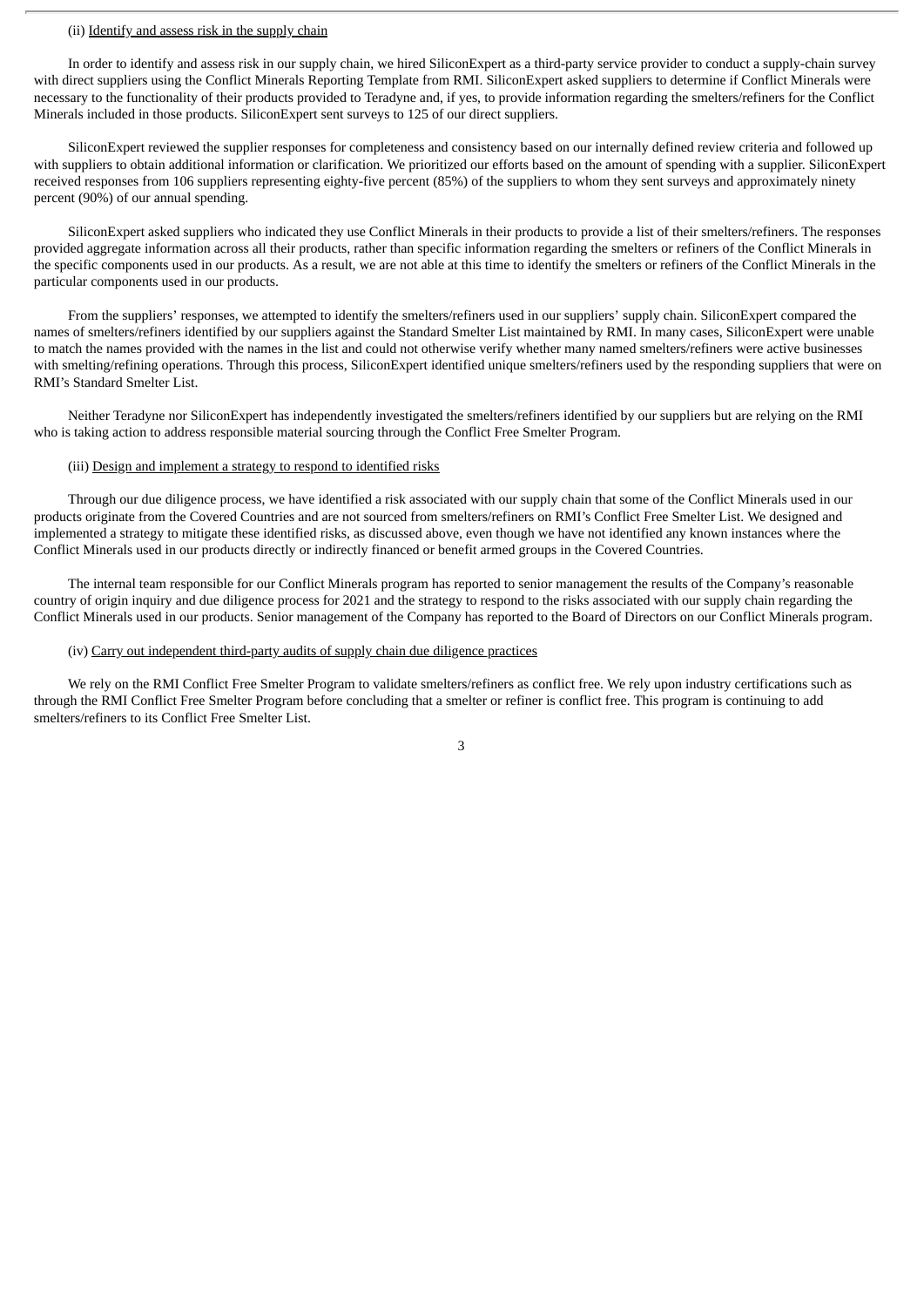#### (ii) Identify and assess risk in the supply chain

In order to identify and assess risk in our supply chain, we hired SiliconExpert as a third-party service provider to conduct a supply-chain survey with direct suppliers using the Conflict Minerals Reporting Template from RMI. SiliconExpert asked suppliers to determine if Conflict Minerals were necessary to the functionality of their products provided to Teradyne and, if yes, to provide information regarding the smelters/refiners for the Conflict Minerals included in those products. SiliconExpert sent surveys to 125 of our direct suppliers.

SiliconExpert reviewed the supplier responses for completeness and consistency based on our internally defined review criteria and followed up with suppliers to obtain additional information or clarification. We prioritized our efforts based on the amount of spending with a supplier. SiliconExpert received responses from 106 suppliers representing eighty-five percent (85%) of the suppliers to whom they sent surveys and approximately ninety percent (90%) of our annual spending.

SiliconExpert asked suppliers who indicated they use Conflict Minerals in their products to provide a list of their smelters/refiners. The responses provided aggregate information across all their products, rather than specific information regarding the smelters or refiners of the Conflict Minerals in the specific components used in our products. As a result, we are not able at this time to identify the smelters or refiners of the Conflict Minerals in the particular components used in our products.

From the suppliers' responses, we attempted to identify the smelters/refiners used in our suppliers' supply chain. SiliconExpert compared the names of smelters/refiners identified by our suppliers against the Standard Smelter List maintained by RMI. In many cases, SiliconExpert were unable to match the names provided with the names in the list and could not otherwise verify whether many named smelters/refiners were active businesses with smelting/refining operations. Through this process, SiliconExpert identified unique smelters/refiners used by the responding suppliers that were on RMI's Standard Smelter List.

Neither Teradyne nor SiliconExpert has independently investigated the smelters/refiners identified by our suppliers but are relying on the RMI who is taking action to address responsible material sourcing through the Conflict Free Smelter Program.

#### (iii) Design and implement a strategy to respond to identified risks

Through our due diligence process, we have identified a risk associated with our supply chain that some of the Conflict Minerals used in our products originate from the Covered Countries and are not sourced from smelters/refiners on RMI's Conflict Free Smelter List. We designed and implemented a strategy to mitigate these identified risks, as discussed above, even though we have not identified any known instances where the Conflict Minerals used in our products directly or indirectly financed or benefit armed groups in the Covered Countries.

The internal team responsible for our Conflict Minerals program has reported to senior management the results of the Company's reasonable country of origin inquiry and due diligence process for 2021 and the strategy to respond to the risks associated with our supply chain regarding the Conflict Minerals used in our products. Senior management of the Company has reported to the Board of Directors on our Conflict Minerals program.

#### (iv) Carry out independent third-party audits of supply chain due diligence practices

We rely on the RMI Conflict Free Smelter Program to validate smelters/refiners as conflict free. We rely upon industry certifications such as through the RMI Conflict Free Smelter Program before concluding that a smelter or refiner is conflict free. This program is continuing to add smelters/refiners to its Conflict Free Smelter List.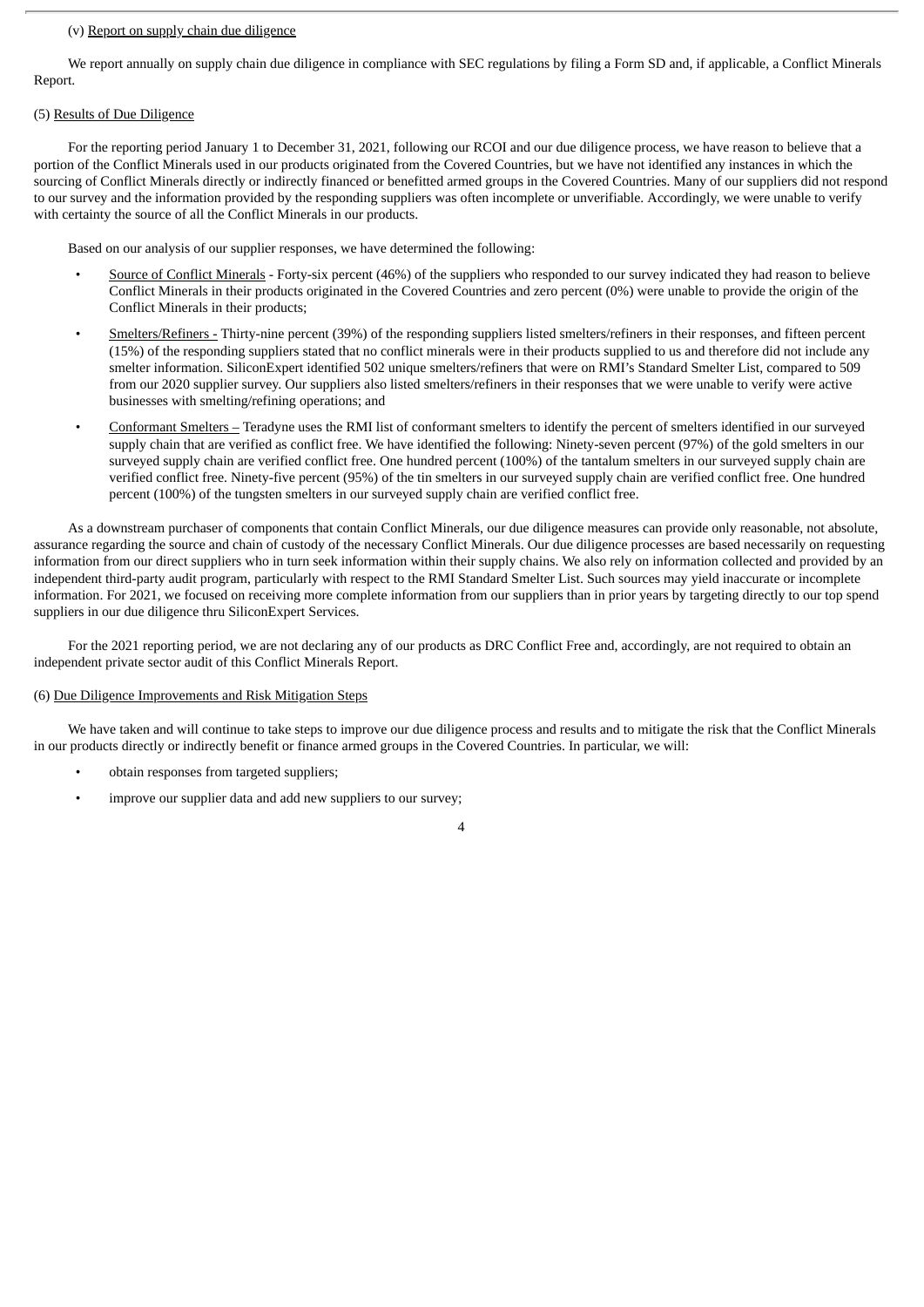#### (v) Report on supply chain due diligence

We report annually on supply chain due diligence in compliance with SEC regulations by filing a Form SD and, if applicable, a Conflict Minerals Report.

## (5) Results of Due Diligence

For the reporting period January 1 to December 31, 2021, following our RCOI and our due diligence process, we have reason to believe that a portion of the Conflict Minerals used in our products originated from the Covered Countries, but we have not identified any instances in which the sourcing of Conflict Minerals directly or indirectly financed or benefitted armed groups in the Covered Countries. Many of our suppliers did not respond to our survey and the information provided by the responding suppliers was often incomplete or unverifiable. Accordingly, we were unable to verify with certainty the source of all the Conflict Minerals in our products.

Based on our analysis of our supplier responses, we have determined the following:

- Source of Conflict Minerals Forty-six percent (46%) of the suppliers who responded to our survey indicated they had reason to believe Conflict Minerals in their products originated in the Covered Countries and zero percent (0%) were unable to provide the origin of the Conflict Minerals in their products;
- Smelters/Refiners Thirty-nine percent (39%) of the responding suppliers listed smelters/refiners in their responses, and fifteen percent (15%) of the responding suppliers stated that no conflict minerals were in their products supplied to us and therefore did not include any smelter information. SiliconExpert identified 502 unique smelters/refiners that were on RMI's Standard Smelter List, compared to 509 from our 2020 supplier survey. Our suppliers also listed smelters/refiners in their responses that we were unable to verify were active businesses with smelting/refining operations; and
- Conformant Smelters Teradyne uses the RMI list of conformant smelters to identify the percent of smelters identified in our surveyed supply chain that are verified as conflict free. We have identified the following: Ninety-seven percent (97%) of the gold smelters in our surveyed supply chain are verified conflict free. One hundred percent (100%) of the tantalum smelters in our surveyed supply chain are verified conflict free. Ninety-five percent (95%) of the tin smelters in our surveyed supply chain are verified conflict free. One hundred percent (100%) of the tungsten smelters in our surveyed supply chain are verified conflict free.

As a downstream purchaser of components that contain Conflict Minerals, our due diligence measures can provide only reasonable, not absolute, assurance regarding the source and chain of custody of the necessary Conflict Minerals. Our due diligence processes are based necessarily on requesting information from our direct suppliers who in turn seek information within their supply chains. We also rely on information collected and provided by an independent third-party audit program, particularly with respect to the RMI Standard Smelter List. Such sources may yield inaccurate or incomplete information. For 2021, we focused on receiving more complete information from our suppliers than in prior years by targeting directly to our top spend suppliers in our due diligence thru SiliconExpert Services.

For the 2021 reporting period, we are not declaring any of our products as DRC Conflict Free and, accordingly, are not required to obtain an independent private sector audit of this Conflict Minerals Report.

#### (6) Due Diligence Improvements and Risk Mitigation Steps

We have taken and will continue to take steps to improve our due diligence process and results and to mitigate the risk that the Conflict Minerals in our products directly or indirectly benefit or finance armed groups in the Covered Countries. In particular, we will:

4

- obtain responses from targeted suppliers;
- improve our supplier data and add new suppliers to our survey;